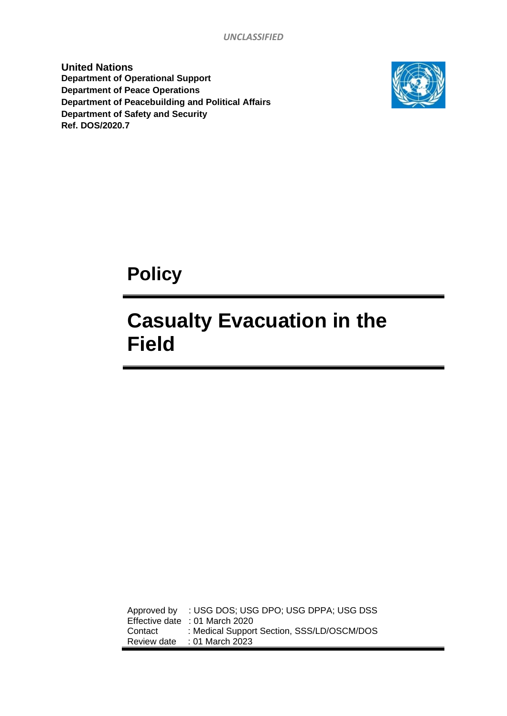*UNCLASSIFIED*

**United Nations Department of Operational Support Department of Peace Operations Department of Peacebuilding and Political Affairs Department of Safety and Security Ref. DOS/2020.7**



**Policy**

# **Casualty Evacuation in the Field**

Approved by : USG DOS; USG DPO; USG DPPA; USG DSS Effective date : 01 March 2020 Contact : Medical Support Section, SSS/LD/OSCM/DOS Review date : 01 March 2023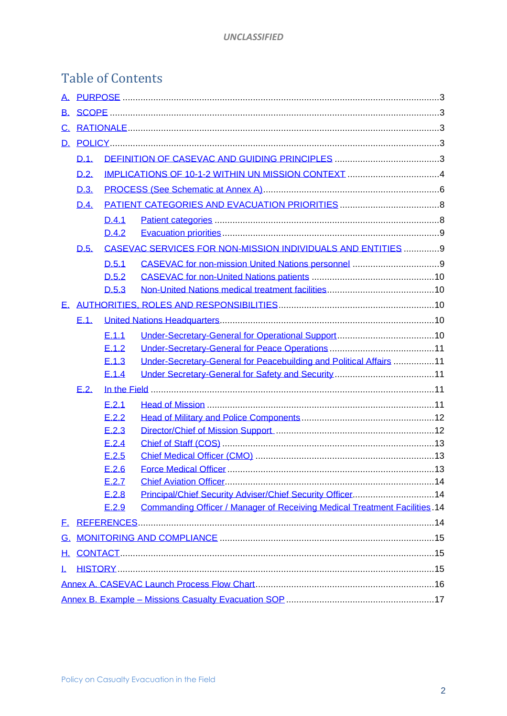## Table of Contents

| D.1   |                 |  |                                                                                                                                                                                                                                                                              |  |
|-------|-----------------|--|------------------------------------------------------------------------------------------------------------------------------------------------------------------------------------------------------------------------------------------------------------------------------|--|
| D.2.  |                 |  |                                                                                                                                                                                                                                                                              |  |
| D.3.  |                 |  |                                                                                                                                                                                                                                                                              |  |
| D.4.  |                 |  |                                                                                                                                                                                                                                                                              |  |
| D.4.1 |                 |  |                                                                                                                                                                                                                                                                              |  |
|       | D.4.2           |  |                                                                                                                                                                                                                                                                              |  |
| D.5.  |                 |  |                                                                                                                                                                                                                                                                              |  |
|       | D.5.1           |  |                                                                                                                                                                                                                                                                              |  |
|       | D.5.2           |  |                                                                                                                                                                                                                                                                              |  |
|       | D.5.3           |  |                                                                                                                                                                                                                                                                              |  |
|       |                 |  |                                                                                                                                                                                                                                                                              |  |
| E.1.  |                 |  |                                                                                                                                                                                                                                                                              |  |
|       | E.1.1           |  |                                                                                                                                                                                                                                                                              |  |
|       | E.1.2           |  |                                                                                                                                                                                                                                                                              |  |
|       | E.1.3           |  |                                                                                                                                                                                                                                                                              |  |
|       | E.1.4           |  |                                                                                                                                                                                                                                                                              |  |
| E.2.  |                 |  |                                                                                                                                                                                                                                                                              |  |
|       | E.2.1           |  |                                                                                                                                                                                                                                                                              |  |
|       | E.2.2           |  |                                                                                                                                                                                                                                                                              |  |
|       | E.2.3           |  |                                                                                                                                                                                                                                                                              |  |
|       | E.2.4           |  |                                                                                                                                                                                                                                                                              |  |
|       | E.2.5           |  |                                                                                                                                                                                                                                                                              |  |
|       | E.2.6           |  |                                                                                                                                                                                                                                                                              |  |
|       | E.2.7           |  |                                                                                                                                                                                                                                                                              |  |
|       | E.2.8           |  |                                                                                                                                                                                                                                                                              |  |
|       | E.2.9           |  |                                                                                                                                                                                                                                                                              |  |
|       |                 |  |                                                                                                                                                                                                                                                                              |  |
|       |                 |  |                                                                                                                                                                                                                                                                              |  |
| H. .  |                 |  |                                                                                                                                                                                                                                                                              |  |
| T.    |                 |  |                                                                                                                                                                                                                                                                              |  |
|       |                 |  |                                                                                                                                                                                                                                                                              |  |
|       |                 |  |                                                                                                                                                                                                                                                                              |  |
|       | <u>B.</u><br>F. |  | CASEVAC SERVICES FOR NON-MISSION INDIVIDUALS AND ENTITIES  9<br>Under-Secretary-General for Peacebuilding and Political Affairs 11<br>Principal/Chief Security Adviser/Chief Security Officer14<br>Commanding Officer / Manager of Receiving Medical Treatment Facilities 14 |  |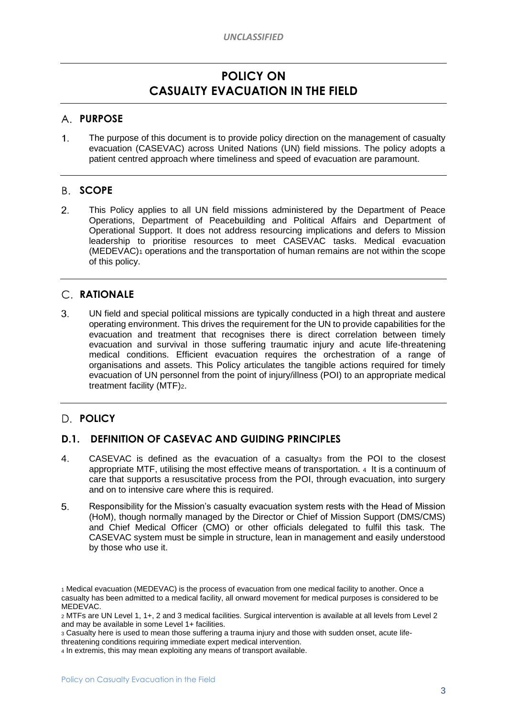## **POLICY ON CASUALTY EVACUATION IN THE FIELD**

#### <span id="page-2-0"></span>**PURPOSE**

 $1.$ The purpose of this document is to provide policy direction on the management of casualty evacuation (CASEVAC) across United Nations (UN) field missions. The policy adopts a patient centred approach where timeliness and speed of evacuation are paramount.

#### <span id="page-2-1"></span>B. SCOPE

 $2.$ This Policy applies to all UN field missions administered by the Department of Peace Operations, Department of Peacebuilding and Political Affairs and Department of Operational Support. It does not address resourcing implications and defers to Mission leadership to prioritise resources to meet CASEVAC tasks. Medical evacuation (MEDEVAC)<sup>1</sup> operations and the transportation of human remains are not within the scope of this policy.

### <span id="page-2-2"></span>**RATIONALE**

 $\mathcal{S}$ UN field and special political missions are typically conducted in a high threat and austere operating environment. This drives the requirement for the UN to provide capabilities for the evacuation and treatment that recognises there is direct correlation between timely evacuation and survival in those suffering traumatic injury and acute life-threatening medical conditions. Efficient evacuation requires the orchestration of a range of organisations and assets. This Policy articulates the tangible actions required for timely evacuation of UN personnel from the point of injury/illness (POI) to an appropriate medical treatment facility (MTF)2.

### <span id="page-2-3"></span>**POLICY**

#### <span id="page-2-4"></span>**D.1. DEFINITION OF CASEVAC AND GUIDING PRINCIPLES**

- $\mathbf{4}$ . CASEVAC is defined as the evacuation of a casualty<sub>3</sub> from the POI to the closest appropriate MTF, utilising the most effective means of transportation. <sup>4</sup> It is a continuum of care that supports a resuscitative process from the POI, through evacuation, into surgery and on to intensive care where this is required.
- 5. Responsibility for the Mission's casualty evacuation system rests with the Head of Mission (HoM), though normally managed by the Director or Chief of Mission Support (DMS/CMS) and Chief Medical Officer (CMO) or other officials delegated to fulfil this task. The CASEVAC system must be simple in structure, lean in management and easily understood by those who use it.

<sup>3</sup> Casualty here is used to mean those suffering a trauma injury and those with sudden onset, acute life-

<sup>1</sup> Medical evacuation (MEDEVAC) is the process of evacuation from one medical facility to another. Once a casualty has been admitted to a medical facility, all onward movement for medical purposes is considered to be MEDEVAC.

<sup>2</sup> MTFs are UN Level 1, 1+, 2 and 3 medical facilities. Surgical intervention is available at all levels from Level 2 and may be available in some Level 1+ facilities.

threatening conditions requiring immediate expert medical intervention.

<sup>4</sup> In extremis, this may mean exploiting any means of transport available.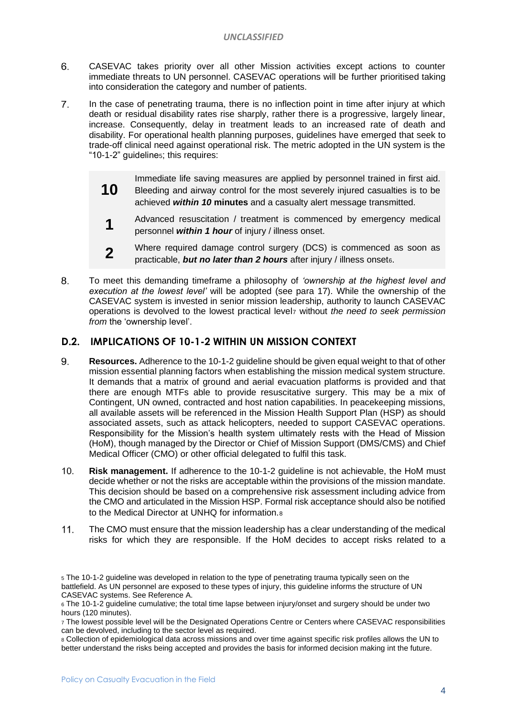- 6. CASEVAC takes priority over all other Mission activities except actions to counter immediate threats to UN personnel. CASEVAC operations will be further prioritised taking into consideration the category and number of patients.
- 7. In the case of penetrating trauma, there is no inflection point in time after injury at which death or residual disability rates rise sharply, rather there is a progressive, largely linear, increase. Consequently, delay in treatment leads to an increased rate of death and disability. For operational health planning purposes, guidelines have emerged that seek to trade-off clinical need against operational risk. The metric adopted in the UN system is the "10-1-2" guideline5; this requires:
	- **10** Immediate life saving measures are applied by personnel trained in first aid. Bleeding and airway control for the most severely injured casualties is to be achieved *within 10* **minutes** and a casualty alert message transmitted.
		- **1** Advanced resuscitation / treatment is commenced by emergency medical personnel *within 1 hour* of injury / illness onset.
		- **2** Where required damage control surgery (DCS) is commenced as soon as practicable, **but no later than 2 hours** after injury / illness onset<sub>6</sub>.
- 8. To meet this demanding timeframe a philosophy of *'ownership at the highest level and execution at the lowest level'* will be adopted (see para 17). While the ownership of the CASEVAC system is invested in senior mission leadership, authority to launch CASEVAC operations is devolved to the lowest practical level<sup>7</sup> without *the need to seek permission from* the 'ownership level'.

#### <span id="page-3-0"></span>**D.2. IMPLICATIONS OF 10-1-2 WITHIN UN MISSION CONTEXT**

- 9. **Resources.** Adherence to the 10-1-2 guideline should be given equal weight to that of other mission essential planning factors when establishing the mission medical system structure. It demands that a matrix of ground and aerial evacuation platforms is provided and that there are enough MTFs able to provide resuscitative surgery. This may be a mix of Contingent, UN owned, contracted and host nation capabilities. In peacekeeping missions, all available assets will be referenced in the Mission Health Support Plan (HSP) as should associated assets, such as attack helicopters, needed to support CASEVAC operations. Responsibility for the Mission's health system ultimately rests with the Head of Mission (HoM), though managed by the Director or Chief of Mission Support (DMS/CMS) and Chief Medical Officer (CMO) or other official delegated to fulfil this task.
- $10<sub>1</sub>$ **Risk management.** If adherence to the 10-1-2 guideline is not achievable, the HoM must decide whether or not the risks are acceptable within the provisions of the mission mandate. This decision should be based on a comprehensive risk assessment including advice from the CMO and articulated in the Mission HSP. Formal risk acceptance should also be notified to the Medical Director at UNHQ for information.<sup>8</sup>
- $11.$ The CMO must ensure that the mission leadership has a clear understanding of the medical risks for which they are responsible. If the HoM decides to accept risks related to a

<sup>5</sup> The 10-1-2 guideline was developed in relation to the type of penetrating trauma typically seen on the battlefield. As UN personnel are exposed to these types of injury, this guideline informs the structure of UN CASEVAC systems. See Reference A.

<sup>6</sup> The 10-1-2 guideline cumulative; the total time lapse between injury/onset and surgery should be under two hours (120 minutes).

<sup>7</sup> The lowest possible level will be the Designated Operations Centre or Centers where CASEVAC responsibilities can be devolved, including to the sector level as required.

<sup>8</sup> Collection of epidemiological data across missions and over time against specific risk profiles allows the UN to better understand the risks being accepted and provides the basis for informed decision making int the future.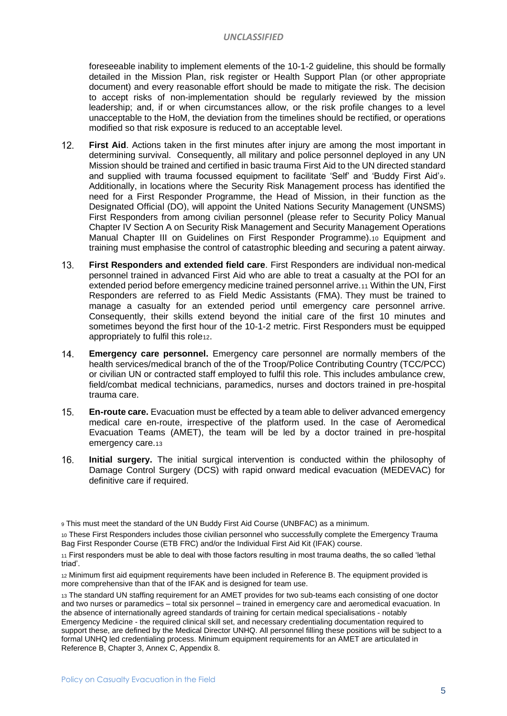#### *UNCLASSIFIED*

foreseeable inability to implement elements of the 10-1-2 guideline, this should be formally detailed in the Mission Plan, risk register or Health Support Plan (or other appropriate document) and every reasonable effort should be made to mitigate the risk. The decision to accept risks of non-implementation should be regularly reviewed by the mission leadership; and, if or when circumstances allow, or the risk profile changes to a level unacceptable to the HoM, the deviation from the timelines should be rectified, or operations modified so that risk exposure is reduced to an acceptable level.

- $12.$ **First Aid.** Actions taken in the first minutes after injury are among the most important in determining survival. Consequently, all military and police personnel deployed in any UN Mission should be trained and certified in basic trauma First Aid to the UN directed standard and supplied with trauma focussed equipment to facilitate 'Self' and 'Buddy First Aid'9. Additionally, in locations where the Security Risk Management process has identified the need for a First Responder Programme, the Head of Mission, in their function as the Designated Official (DO), will appoint the United Nations Security Management (UNSMS) First Responders from among civilian personnel (please refer to Security Policy Manual Chapter IV Section A on Security Risk Management and Security Management Operations Manual Chapter III on Guidelines on First Responder Programme).<sup>10</sup> Equipment and training must emphasise the control of catastrophic bleeding and securing a patent airway.
- $13.$ **First Responders and extended field care**. First Responders are individual non-medical personnel trained in advanced First Aid who are able to treat a casualty at the POI for an extended period before emergency medicine trained personnel arrive.<sup>11</sup> Within the UN, First Responders are referred to as Field Medic Assistants (FMA). They must be trained to manage a casualty for an extended period until emergency care personnel arrive. Consequently, their skills extend beyond the initial care of the first 10 minutes and sometimes beyond the first hour of the 10-1-2 metric. First Responders must be equipped appropriately to fulfil this role12.
- $14.$ **Emergency care personnel.** Emergency care personnel are normally members of the health services/medical branch of the of the Troop/Police Contributing Country (TCC/PCC) or civilian UN or contracted staff employed to fulfil this role. This includes ambulance crew, field/combat medical technicians, paramedics, nurses and doctors trained in pre-hospital trauma care.
- $15.$ **En-route care.** Evacuation must be effected by a team able to deliver advanced emergency medical care en-route, irrespective of the platform used. In the case of Aeromedical Evacuation Teams (AMET), the team will be led by a doctor trained in pre-hospital emergency care.13
- 16. **Initial surgery.** The initial surgical intervention is conducted within the philosophy of Damage Control Surgery (DCS) with rapid onward medical evacuation (MEDEVAC) for definitive care if required.

<sup>9</sup> This must meet the standard of the UN Buddy First Aid Course (UNBFAC) as a minimum.

<sup>10</sup> These First Responders includes those civilian personnel who successfully complete the Emergency Trauma Bag First Responder Course (ETB FRC) and/or the Individual First Aid Kit (IFAK) course.

<sup>11</sup> First responders must be able to deal with those factors resulting in most trauma deaths, the so called 'lethal triad'.

<sup>12</sup> Minimum first aid equipment requirements have been included in Reference B. The equipment provided is more comprehensive than that of the IFAK and is designed for team use.

<sup>13</sup> The standard UN staffing requirement for an AMET provides for two sub-teams each consisting of one doctor and two nurses or paramedics – total six personnel – trained in emergency care and aeromedical evacuation. In the absence of internationally agreed standards of training for certain medical specialisations - notably Emergency Medicine - the required clinical skill set, and necessary credentialing documentation required to support these, are defined by the Medical Director UNHQ. All personnel filling these positions will be subject to a formal UNHQ led credentialing process. Minimum equipment requirements for an AMET are articulated in Reference B, Chapter 3, Annex C, Appendix 8.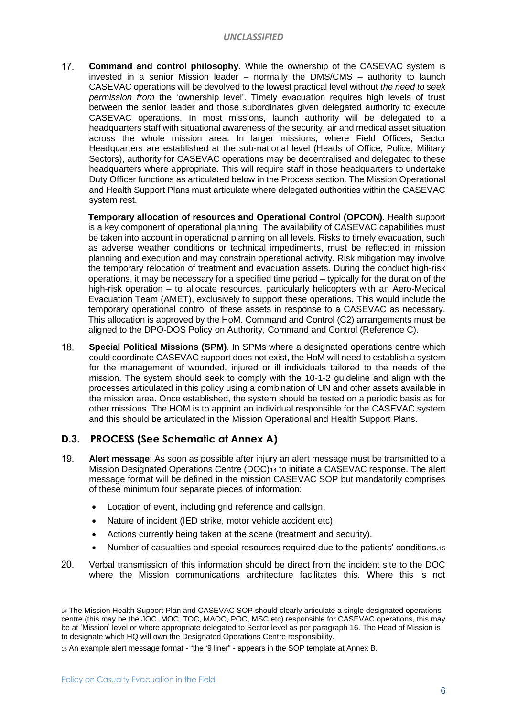$17.$ **Command and control philosophy.** While the ownership of the CASEVAC system is invested in a senior Mission leader – normally the DMS/CMS – authority to launch CASEVAC operations will be devolved to the lowest practical level without *the need to seek permission from* the 'ownership level'. Timely evacuation requires high levels of trust between the senior leader and those subordinates given delegated authority to execute CASEVAC operations. In most missions, launch authority will be delegated to a headquarters staff with situational awareness of the security, air and medical asset situation across the whole mission area. In larger missions, where Field Offices, Sector Headquarters are established at the sub-national level (Heads of Office, Police, Military Sectors), authority for CASEVAC operations may be decentralised and delegated to these headquarters where appropriate. This will require staff in those headquarters to undertake Duty Officer functions as articulated below in the Process section. The Mission Operational and Health Support Plans must articulate where delegated authorities within the CASEVAC system rest.

**Temporary allocation of resources and Operational Control (OPCON).** Health support is a key component of operational planning. The availability of CASEVAC capabilities must be taken into account in operational planning on all levels. Risks to timely evacuation, such as adverse weather conditions or technical impediments, must be reflected in mission planning and execution and may constrain operational activity. Risk mitigation may involve the temporary relocation of treatment and evacuation assets. During the conduct high-risk operations, it may be necessary for a specified time period – typically for the duration of the high-risk operation – to allocate resources, particularly helicopters with an Aero-Medical Evacuation Team (AMET), exclusively to support these operations. This would include the temporary operational control of these assets in response to a CASEVAC as necessary. This allocation is approved by the HoM. Command and Control (C2) arrangements must be aligned to the DPO-DOS Policy on Authority, Command and Control (Reference C).

18. **Special Political Missions (SPM)**. In SPMs where a designated operations centre which could coordinate CASEVAC support does not exist, the HoM will need to establish a system for the management of wounded, injured or ill individuals tailored to the needs of the mission. The system should seek to comply with the 10-1-2 guideline and align with the processes articulated in this policy using a combination of UN and other assets available in the mission area. Once established, the system should be tested on a periodic basis as for other missions. The HOM is to appoint an individual responsible for the CASEVAC system and this should be articulated in the Mission Operational and Health Support Plans.

### **D.3. PROCESS (See Schematic at Annex A)**

- 19. **Alert message**: As soon as possible after injury an alert message must be transmitted to a Mission Designated Operations Centre (DOC)<sup>14</sup> to initiate a CASEVAC response. The alert message format will be defined in the mission CASEVAC SOP but mandatorily comprises of these minimum four separate pieces of information:
	- Location of event, including grid reference and callsign.
	- Nature of incident (IED strike, motor vehicle accident etc).
	- Actions currently being taken at the scene (treatment and security).
	- Number of casualties and special resources required due to the patients' conditions.15
- 20. Verbal transmission of this information should be direct from the incident site to the DOC where the Mission communications architecture facilitates this. Where this is not

<sup>15</sup> An example alert message format - "the '9 liner" - appears in the SOP template at Annex B.

<sup>14</sup> The Mission Health Support Plan and CASEVAC SOP should clearly articulate a single designated operations centre (this may be the JOC, MOC, TOC, MAOC, POC, MSC etc) responsible for CASEVAC operations, this may be at 'Mission' level or where appropriate delegated to Sector level as per paragraph 16. The Head of Mission is to designate which HQ will own the Designated Operations Centre responsibility.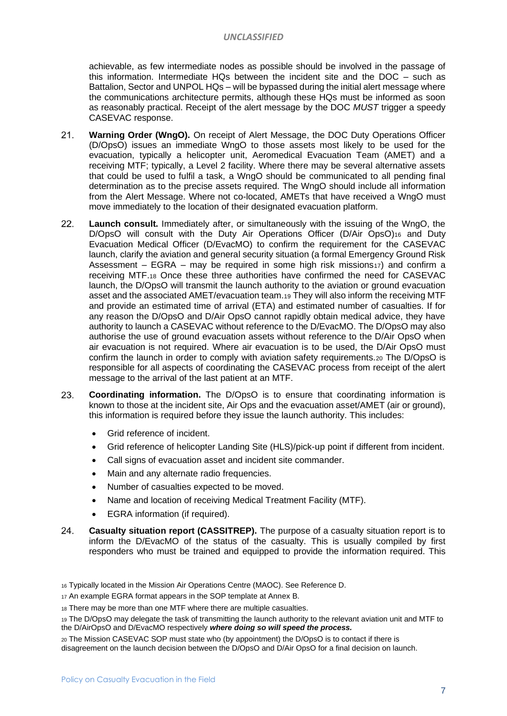achievable, as few intermediate nodes as possible should be involved in the passage of this information. Intermediate HQs between the incident site and the DOC – such as Battalion, Sector and UNPOL HQs – will be bypassed during the initial alert message where the communications architecture permits, although these HQs must be informed as soon as reasonably practical. Receipt of the alert message by the DOC *MUST* trigger a speedy CASEVAC response.

- $21.$ **Warning Order (WngO).** On receipt of Alert Message, the DOC Duty Operations Officer (D/OpsO) issues an immediate WngO to those assets most likely to be used for the evacuation, typically a helicopter unit, Aeromedical Evacuation Team (AMET) and a receiving MTF; typically, a Level 2 facility. Where there may be several alternative assets that could be used to fulfil a task, a WngO should be communicated to all pending final determination as to the precise assets required. The WngO should include all information from the Alert Message. Where not co-located, AMETs that have received a WngO must move immediately to the location of their designated evacuation platform.
- 22. **Launch consult.** Immediately after, or simultaneously with the issuing of the WngO, the D/OpsO will consult with the Duty Air Operations Officer (D/Air OpsO)<sup>16</sup> and Duty Evacuation Medical Officer (D/EvacMO) to confirm the requirement for the CASEVAC launch, clarify the aviation and general security situation (a formal Emergency Ground Risk Assessment – EGRA – may be required in some high risk missions $17$ ) and confirm a receiving MTF.<sup>18</sup> Once these three authorities have confirmed the need for CASEVAC launch, the D/OpsO will transmit the launch authority to the aviation or ground evacuation asset and the associated AMET/evacuation team.<sup>19</sup> They will also inform the receiving MTF and provide an estimated time of arrival (ETA) and estimated number of casualties. If for any reason the D/OpsO and D/Air OpsO cannot rapidly obtain medical advice, they have authority to launch a CASEVAC without reference to the D/EvacMO. The D/OpsO may also authorise the use of ground evacuation assets without reference to the D/Air OpsO when air evacuation is not required. Where air evacuation is to be used, the D/Air OpsO must confirm the launch in order to comply with aviation safety requirements.<sup>20</sup> The D/OpsO is responsible for all aspects of coordinating the CASEVAC process from receipt of the alert message to the arrival of the last patient at an MTF.
- 23. **Coordinating information.** The D/OpsO is to ensure that coordinating information is known to those at the incident site, Air Ops and the evacuation asset/AMET (air or ground), this information is required before they issue the launch authority. This includes:
	- Grid reference of incident.
	- Grid reference of helicopter Landing Site (HLS)/pick-up point if different from incident.
	- Call signs of evacuation asset and incident site commander.
	- Main and any alternate radio frequencies.
	- Number of casualties expected to be moved.
	- Name and location of receiving Medical Treatment Facility (MTF).
	- EGRA information (if required).
- 24. **Casualty situation report (CASSITREP).** The purpose of a casualty situation report is to inform the D/EvacMO of the status of the casualty. This is usually compiled by first responders who must be trained and equipped to provide the information required. This

<sup>16</sup> Typically located in the Mission Air Operations Centre (MAOC). See Reference D.

<sup>17</sup> An example EGRA format appears in the SOP template at Annex B.

<sup>18</sup> There may be more than one MTF where there are multiple casualties.

<sup>19</sup> The D/OpsO may delegate the task of transmitting the launch authority to the relevant aviation unit and MTF to the D/AirOpsO and D/EvacMO respectively *where doing so will speed the process.*

<sup>20</sup> The Mission CASEVAC SOP must state who (by appointment) the D/OpsO is to contact if there is disagreement on the launch decision between the D/OpsO and D/Air OpsO for a final decision on launch.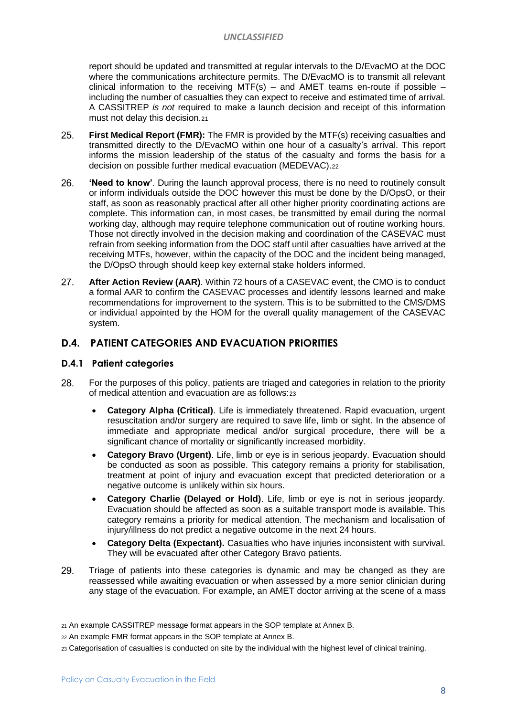#### *UNCLASSIFIED*

report should be updated and transmitted at regular intervals to the D/EvacMO at the DOC where the communications architecture permits. The D/EvacMO is to transmit all relevant clinical information to the receiving MTF(s) – and AMET teams en-route if possible – including the number of casualties they can expect to receive and estimated time of arrival. A CASSITREP *is not* required to make a launch decision and receipt of this information must not delay this decision.<sup>21</sup>

- 25. **First Medical Report (FMR):** The FMR is provided by the MTF(s) receiving casualties and transmitted directly to the D/EvacMO within one hour of a casualty's arrival. This report informs the mission leadership of the status of the casualty and forms the basis for a decision on possible further medical evacuation (MEDEVAC).<sup>22</sup>
- 26. **'Need to know'**. During the launch approval process, there is no need to routinely consult or inform individuals outside the DOC however this must be done by the D/OpsO, or their staff, as soon as reasonably practical after all other higher priority coordinating actions are complete. This information can, in most cases, be transmitted by email during the normal working day, although may require telephone communication out of routine working hours. Those not directly involved in the decision making and coordination of the CASEVAC must refrain from seeking information from the DOC staff until after casualties have arrived at the receiving MTFs, however, within the capacity of the DOC and the incident being managed, the D/OpsO through should keep key external stake holders informed.
- 27. **After Action Review (AAR)**. Within 72 hours of a CASEVAC event, the CMO is to conduct a formal AAR to confirm the CASEVAC processes and identify lessons learned and make recommendations for improvement to the system. This is to be submitted to the CMS/DMS or individual appointed by the HOM for the overall quality management of the CASEVAC system.

#### **D.4. PATIENT CATEGORIES AND EVACUATION PRIORITIES**

#### **D.4.1 Patient categories**

- 28 For the purposes of this policy, patients are triaged and categories in relation to the priority of medical attention and evacuation are as follows:<sup>23</sup>
	- **Category Alpha (Critical)**. Life is immediately threatened. Rapid evacuation, urgent resuscitation and/or surgery are required to save life, limb or sight. In the absence of immediate and appropriate medical and/or surgical procedure, there will be a significant chance of mortality or significantly increased morbidity.
	- **Category Bravo (Urgent)**. Life, limb or eye is in serious jeopardy. Evacuation should be conducted as soon as possible. This category remains a priority for stabilisation, treatment at point of injury and evacuation except that predicted deterioration or a negative outcome is unlikely within six hours.
	- **Category Charlie (Delayed or Hold)**. Life, limb or eye is not in serious jeopardy. Evacuation should be affected as soon as a suitable transport mode is available. This category remains a priority for medical attention. The mechanism and localisation of injury/illness do not predict a negative outcome in the next 24 hours.
	- **Category Delta (Expectant).** Casualties who have injuries inconsistent with survival. They will be evacuated after other Category Bravo patients.
- 29. Triage of patients into these categories is dynamic and may be changed as they are reassessed while awaiting evacuation or when assessed by a more senior clinician during any stage of the evacuation. For example, an AMET doctor arriving at the scene of a mass

<sup>22</sup> An example FMR format appears in the SOP template at Annex B.

<sup>21</sup> An example CASSITREP message format appears in the SOP template at Annex B.

<sup>23</sup> Categorisation of casualties is conducted on site by the individual with the highest level of clinical training.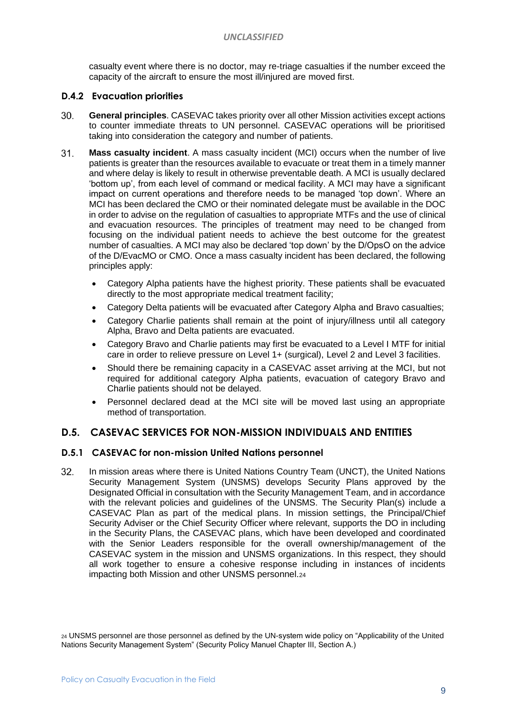#### *UNCLASSIFIED*

casualty event where there is no doctor, may re-triage casualties if the number exceed the capacity of the aircraft to ensure the most ill/injured are moved first.

#### <span id="page-8-0"></span>**D.4.2 Evacuation priorities**

- $30<sub>1</sub>$ **General principles**. CASEVAC takes priority over all other Mission activities except actions to counter immediate threats to UN personnel. CASEVAC operations will be prioritised taking into consideration the category and number of patients.
- $31.$ **Mass casualty incident**. A mass casualty incident (MCI) occurs when the number of live patients is greater than the resources available to evacuate or treat them in a timely manner and where delay is likely to result in otherwise preventable death. A MCI is usually declared 'bottom up', from each level of command or medical facility. A MCI may have a significant impact on current operations and therefore needs to be managed 'top down'. Where an MCI has been declared the CMO or their nominated delegate must be available in the DOC in order to advise on the regulation of casualties to appropriate MTFs and the use of clinical and evacuation resources. The principles of treatment may need to be changed from focusing on the individual patient needs to achieve the best outcome for the greatest number of casualties. A MCI may also be declared 'top down' by the D/OpsO on the advice of the D/EvacMO or CMO. Once a mass casualty incident has been declared, the following principles apply:
	- Category Alpha patients have the highest priority. These patients shall be evacuated directly to the most appropriate medical treatment facility;
	- Category Delta patients will be evacuated after Category Alpha and Bravo casualties;
	- Category Charlie patients shall remain at the point of injury/illness until all category Alpha, Bravo and Delta patients are evacuated.
	- Category Bravo and Charlie patients may first be evacuated to a Level I MTF for initial care in order to relieve pressure on Level 1+ (surgical), Level 2 and Level 3 facilities.
	- Should there be remaining capacity in a CASEVAC asset arriving at the MCI, but not required for additional category Alpha patients, evacuation of category Bravo and Charlie patients should not be delayed.
	- Personnel declared dead at the MCI site will be moved last using an appropriate method of transportation.

#### **D.5. CASEVAC SERVICES FOR NON-MISSION INDIVIDUALS AND ENTITIES**

#### **D.5.1 CASEVAC for non-mission United Nations personnel**

 $32<sub>1</sub>$ In mission areas where there is United Nations Country Team (UNCT), the United Nations Security Management System (UNSMS) develops Security Plans approved by the Designated Official in consultation with the Security Management Team, and in accordance with the relevant policies and guidelines of the UNSMS. The Security Plan(s) include a CASEVAC Plan as part of the medical plans. In mission settings, the Principal/Chief Security Adviser or the Chief Security Officer where relevant, supports the DO in including in the Security Plans, the CASEVAC plans, which have been developed and coordinated with the Senior Leaders responsible for the overall ownership/management of the CASEVAC system in the mission and UNSMS organizations. In this respect, they should all work together to ensure a cohesive response including in instances of incidents impacting both Mission and other UNSMS personnel.<sup>24</sup>

<sup>24</sup> UNSMS personnel are those personnel as defined by the UN-system wide policy on "Applicability of the United Nations Security Management System" (Security Policy Manuel Chapter III, Section A.)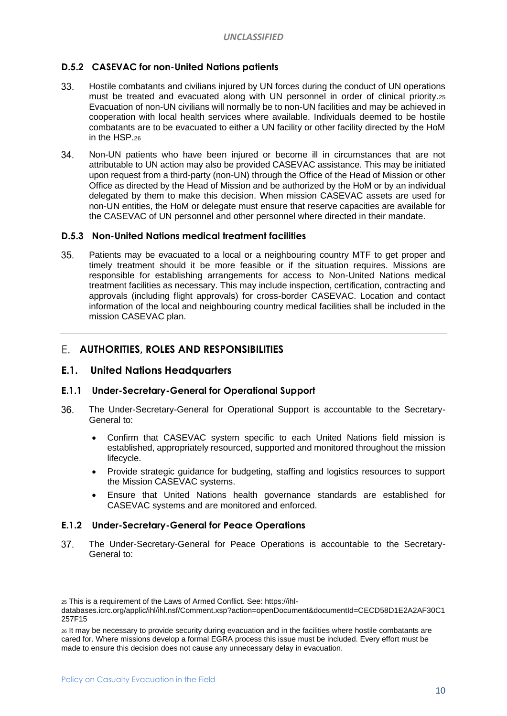#### <span id="page-9-0"></span>**D.5.2 CASEVAC for non-United Nations patients**

- 33. Hostile combatants and civilians injured by UN forces during the conduct of UN operations must be treated and evacuated along with UN personnel in order of clinical priority.<sup>25</sup> Evacuation of non-UN civilians will normally be to non-UN facilities and may be achieved in cooperation with local health services where available. Individuals deemed to be hostile combatants are to be evacuated to either a UN facility or other facility directed by the HoM in the HSP.<sup>26</sup>
- Non-UN patients who have been injured or become ill in circumstances that are not  $34$ attributable to UN action may also be provided CASEVAC assistance. This may be initiated upon request from a third-party (non-UN) through the Office of the Head of Mission or other Office as directed by the Head of Mission and be authorized by the HoM or by an individual delegated by them to make this decision. When mission CASEVAC assets are used for non-UN entities, the HoM or delegate must ensure that reserve capacities are available for the CASEVAC of UN personnel and other personnel where directed in their mandate.

#### <span id="page-9-1"></span>**D.5.3 Non-United Nations medical treatment facilities**

35. Patients may be evacuated to a local or a neighbouring country MTF to get proper and timely treatment should it be more feasible or if the situation requires. Missions are responsible for establishing arrangements for access to Non-United Nations medical treatment facilities as necessary. This may include inspection, certification, contracting and approvals (including flight approvals) for cross-border CASEVAC. Location and contact information of the local and neighbouring country medical facilities shall be included in the mission CASEVAC plan.

#### **AUTHORITIES, ROLES AND RESPONSIBILITIES**

#### **E.1. United Nations Headquarters**

#### **E.1.1 Under-Secretary-General for Operational Support**

- The Under-Secretary-General for Operational Support is accountable to the Secretary-36. General to:
	- Confirm that CASEVAC system specific to each United Nations field mission is established, appropriately resourced, supported and monitored throughout the mission lifecycle.
	- Provide strategic guidance for budgeting, staffing and logistics resources to support the Mission CASEVAC systems.
	- Ensure that United Nations health governance standards are established for CASEVAC systems and are monitored and enforced.

#### <span id="page-9-2"></span>**E.1.2 Under-Secretary-General for Peace Operations**

37. The Under-Secretary-General for Peace Operations is accountable to the Secretary-General to:

<sup>25</sup> This is a requirement of the Laws of Armed Conflict. See: https://ihl-

databases.icrc.org/applic/ihl/ihl.nsf/Comment.xsp?action=openDocument&documentId=CECD58D1E2A2AF30C1 257F15

<sup>26</sup> It may be necessary to provide security during evacuation and in the facilities where hostile combatants are cared for. Where missions develop a formal EGRA process this issue must be included. Every effort must be made to ensure this decision does not cause any unnecessary delay in evacuation.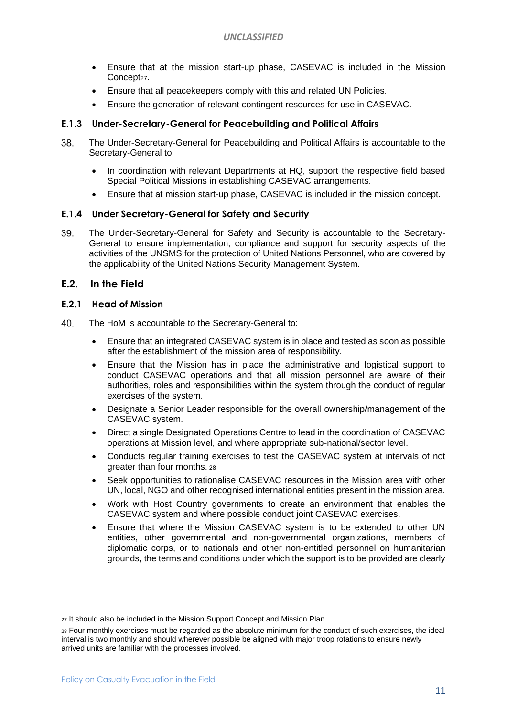- Ensure that at the mission start-up phase, CASEVAC is included in the Mission Concept<sub>27</sub>.
- Ensure that all peacekeepers comply with this and related UN Policies.
- Ensure the generation of relevant contingent resources for use in CASEVAC.

#### <span id="page-10-0"></span>**E.1.3 Under-Secretary-General for Peacebuilding and Political Affairs**

- 38. The Under-Secretary-General for Peacebuilding and Political Affairs is accountable to the Secretary-General to:
	- In coordination with relevant Departments at HQ, support the respective field based Special Political Missions in establishing CASEVAC arrangements.
	- Ensure that at mission start-up phase, CASEVAC is included in the mission concept.

#### <span id="page-10-1"></span>**E.1.4 Under Secretary-General for Safety and Security**

39. The Under-Secretary-General for Safety and Security is accountable to the Secretary-General to ensure implementation, compliance and support for security aspects of the activities of the UNSMS for the protection of United Nations Personnel, who are covered by the applicability of the United Nations Security Management System.

#### <span id="page-10-2"></span>**E.2. In the Field**

#### <span id="page-10-3"></span>**E.2.1 Head of Mission**

- 40 The HoM is accountable to the Secretary-General to:
	- Ensure that an integrated CASEVAC system is in place and tested as soon as possible after the establishment of the mission area of responsibility.
	- Ensure that the Mission has in place the administrative and logistical support to conduct CASEVAC operations and that all mission personnel are aware of their authorities, roles and responsibilities within the system through the conduct of regular exercises of the system.
	- Designate a Senior Leader responsible for the overall ownership/management of the CASEVAC system.
	- Direct a single Designated Operations Centre to lead in the coordination of CASEVAC operations at Mission level, and where appropriate sub-national/sector level.
	- Conducts regular training exercises to test the CASEVAC system at intervals of not greater than four months. <sup>28</sup>
	- Seek opportunities to rationalise CASEVAC resources in the Mission area with other UN, local, NGO and other recognised international entities present in the mission area.
	- Work with Host Country governments to create an environment that enables the CASEVAC system and where possible conduct joint CASEVAC exercises.
	- Ensure that where the Mission CASEVAC system is to be extended to other UN entities, other governmental and non-governmental organizations, members of diplomatic corps, or to nationals and other non-entitled personnel on humanitarian grounds, the terms and conditions under which the support is to be provided are clearly

<sup>27</sup> It should also be included in the Mission Support Concept and Mission Plan.

<sup>28</sup> Four monthly exercises must be regarded as the absolute minimum for the conduct of such exercises, the ideal interval is two monthly and should wherever possible be aligned with major troop rotations to ensure newly arrived units are familiar with the processes involved.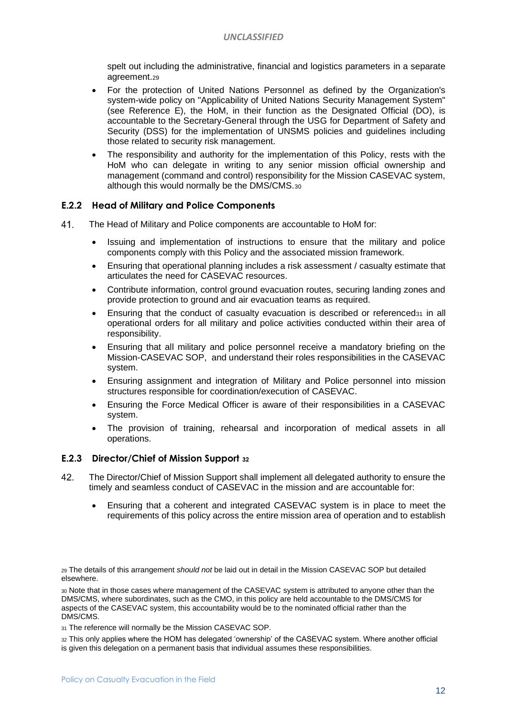spelt out including the administrative, financial and logistics parameters in a separate agreement.<sup>29</sup>

- For the protection of United Nations Personnel as defined by the Organization's system-wide policy on "Applicability of United Nations Security Management System" (see Reference E), the HoM, in their function as the Designated Official (DO), is accountable to the Secretary-General through the USG for Department of Safety and Security (DSS) for the implementation of UNSMS policies and guidelines including those related to security risk management.
- The responsibility and authority for the implementation of this Policy, rests with the HoM who can delegate in writing to any senior mission official ownership and management (command and control) responsibility for the Mission CASEVAC system, although this would normally be the DMS/CMS.<sup>30</sup>

#### <span id="page-11-0"></span>**E.2.2 Head of Military and Police Components**

- 41. The Head of Military and Police components are accountable to HoM for:
	- Issuing and implementation of instructions to ensure that the military and police components comply with this Policy and the associated mission framework.
	- Ensuring that operational planning includes a risk assessment / casualty estimate that articulates the need for CASEVAC resources.
	- Contribute information, control ground evacuation routes, securing landing zones and provide protection to ground and air evacuation teams as required.
	- Ensuring that the conduct of casualty evacuation is described or referenced $31$  in all operational orders for all military and police activities conducted within their area of responsibility.
	- Ensuring that all military and police personnel receive a mandatory briefing on the Mission-CASEVAC SOP, and understand their roles responsibilities in the CASEVAC system.
	- Ensuring assignment and integration of Military and Police personnel into mission structures responsible for coordination/execution of CASEVAC.
	- Ensuring the Force Medical Officer is aware of their responsibilities in a CASEVAC system.
	- The provision of training, rehearsal and incorporation of medical assets in all operations.

#### **E.2.3 Director/Chief of Mission Support <sup>32</sup>**

- 42. The Director/Chief of Mission Support shall implement all delegated authority to ensure the timely and seamless conduct of CASEVAC in the mission and are accountable for:
	- Ensuring that a coherent and integrated CASEVAC system is in place to meet the requirements of this policy across the entire mission area of operation and to establish

<sup>29</sup> The details of this arrangement *should not* be laid out in detail in the Mission CASEVAC SOP but detailed elsewhere.

<sup>30</sup> Note that in those cases where management of the CASEVAC system is attributed to anyone other than the DMS/CMS, where subordinates, such as the CMO, in this policy are held accountable to the DMS/CMS for aspects of the CASEVAC system, this accountability would be to the nominated official rather than the DMS/CMS.

31 The reference will normally be the Mission CASEVAC SOP.

<sup>32</sup> This only applies where the HOM has delegated 'ownership' of the CASEVAC system. Where another official is given this delegation on a permanent basis that individual assumes these responsibilities.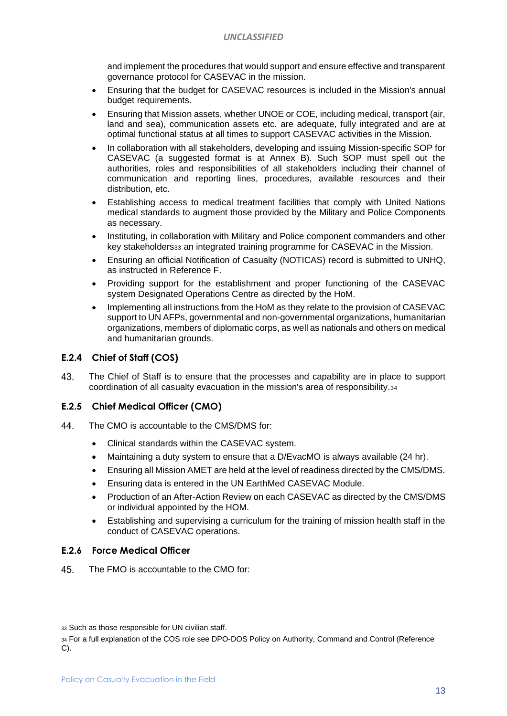and implement the procedures that would support and ensure effective and transparent governance protocol for CASEVAC in the mission.

- Ensuring that the budget for CASEVAC resources is included in the Mission's annual budget requirements.
- Ensuring that Mission assets, whether UNOE or COE, including medical, transport (air, land and sea), communication assets etc. are adequate, fully integrated and are at optimal functional status at all times to support CASEVAC activities in the Mission.
- In collaboration with all stakeholders, developing and issuing Mission-specific SOP for CASEVAC (a suggested format is at Annex B). Such SOP must spell out the authorities, roles and responsibilities of all stakeholders including their channel of communication and reporting lines, procedures, available resources and their distribution, etc.
- Establishing access to medical treatment facilities that comply with United Nations medical standards to augment those provided by the Military and Police Components as necessary.
- Instituting, in collaboration with Military and Police component commanders and other key stakeholders<sup>33</sup> an integrated training programme for CASEVAC in the Mission.
- Ensuring an official Notification of Casualty (NOTICAS) record is submitted to UNHQ, as instructed in Reference F.
- Providing support for the establishment and proper functioning of the CASEVAC system Designated Operations Centre as directed by the HoM.
- Implementing all instructions from the HoM as they relate to the provision of CASEVAC support to UN AFPs, governmental and non-governmental organizations, humanitarian organizations, members of diplomatic corps, as well as nationals and others on medical and humanitarian grounds.

#### **E.2.4 Chief of Staff (COS)**

43. The Chief of Staff is to ensure that the processes and capability are in place to support coordination of all casualty evacuation in the mission's area of responsibility.<sup>34</sup>

#### **E.2.5 Chief Medical Officer (CMO)**

- 44 The CMO is accountable to the CMS/DMS for:
	- Clinical standards within the CASEVAC system.
	- Maintaining a duty system to ensure that a D/EvacMO is always available (24 hr).
	- Ensuring all Mission AMET are held at the level of readiness directed by the CMS/DMS.
	- Ensuring data is entered in the UN EarthMed CASEVAC Module.
	- Production of an After-Action Review on each CASEVAC as directed by the CMS/DMS or individual appointed by the HOM.
	- Establishing and supervising a curriculum for the training of mission health staff in the conduct of CASEVAC operations.

#### **E.2.6 Force Medical Officer**

45. The FMO is accountable to the CMO for:

<sup>33</sup> Such as those responsible for UN civilian staff.

<sup>34</sup> For a full explanation of the COS role see DPO-DOS Policy on Authority, Command and Control (Reference C).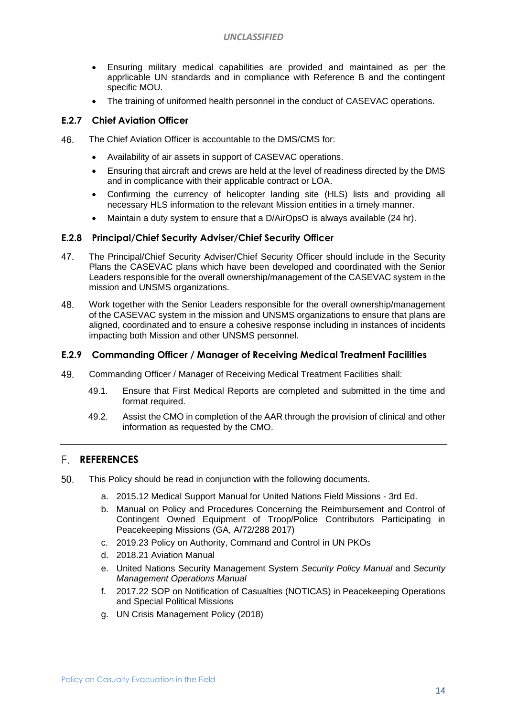- Ensuring military medical capabilities are provided and maintained as per the apprlicable UN standards and in compliance with Reference B and the contingent specific MOU.
- The training of uniformed health personnel in the conduct of CASEVAC operations.

#### <span id="page-13-0"></span>**E.2.7 Chief Aviation Officer**

- 46. The Chief Aviation Officer is accountable to the DMS/CMS for:
	- Availability of air assets in support of CASEVAC operations.
	- Ensuring that aircraft and crews are held at the level of readiness directed by the DMS and in complicance with their applicable contract or LOA.
	- Confirming the currency of helicopter landing site (HLS) lists and providing all necessary HLS information to the relevant Mission entities in a timely manner.
	- Maintain a duty system to ensure that a D/AirOpsO is always available (24 hr).

#### **E.2.8 Principal/Chief Security Adviser/Chief Security Officer**

- 47. The Principal/Chief Security Adviser/Chief Security Officer should include in the Security Plans the CASEVAC plans which have been developed and coordinated with the Senior Leaders responsible for the overall ownership/management of the CASEVAC system in the mission and UNSMS organizations.
- 48. Work together with the Senior Leaders responsible for the overall ownership/management of the CASEVAC system in the mission and UNSMS organizations to ensure that plans are aligned, coordinated and to ensure a cohesive response including in instances of incidents impacting both Mission and other UNSMS personnel.

#### <span id="page-13-1"></span>**E.2.9 Commanding Officer / Manager of Receiving Medical Treatment Facilities**

- 49. Commanding Officer / Manager of Receiving Medical Treatment Facilities shall:
	- 49.1. Ensure that First Medical Reports are completed and submitted in the time and format required.
	- 49.2. Assist the CMO in completion of the AAR through the provision of clinical and other information as requested by the CMO.

#### **REFERENCES**

- 50. This Policy should be read in conjunction with the following documents.
	- a. 2015.12 Medical Support Manual for United Nations Field Missions 3rd Ed.
	- b. Manual on Policy and Procedures Concerning the Reimbursement and Control of Contingent Owned Equipment of Troop/Police Contributors Participating in Peacekeeping Missions (GA, A/72/288 2017)
	- c. 2019.23 Policy on Authority, Command and Control in UN PKOs
	- d. 2018.21 Aviation Manual
	- e. United Nations Security Management System *Security Policy Manual* and *Security Management Operations Manual*
	- f. 2017.22 SOP on Notification of Casualties (NOTICAS) in Peacekeeping Operations and Special Political Missions
	- g. UN Crisis Management Policy (2018)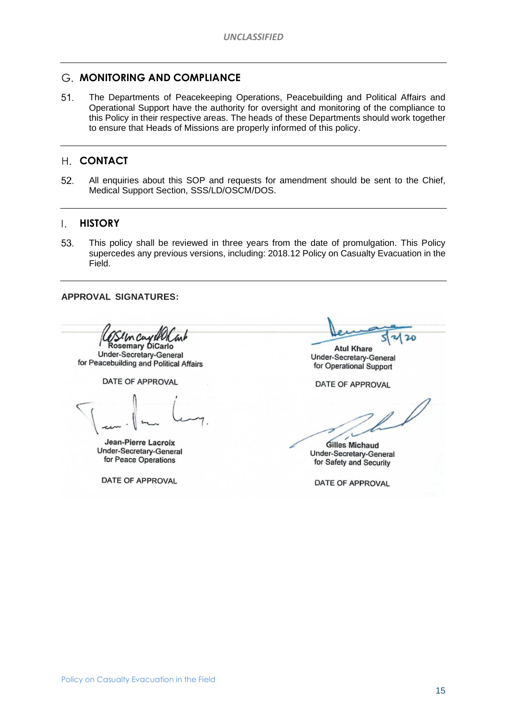#### <span id="page-14-0"></span>**MONITORING AND COMPLIANCE**

51. The Departments of Peacekeeping Operations, Peacebuilding and Political Affairs and Operational Support have the authority for oversight and monitoring of the compliance to this Policy in their respective areas. The heads of these Departments should work together to ensure that Heads of Missions are properly informed of this policy.

#### <span id="page-14-1"></span>**CONTACT**

52. All enquiries about this SOP and requests for amendment should be sent to the Chief, Medical Support Section, SSS/LD/OSCM/DOS.

#### <span id="page-14-2"></span> $\mathsf{L}$ **HISTORY**

53. This policy shall be reviewed in three years from the date of promulgation. This Policy supercedes any previous versions, including: 2018.12 Policy on Casualty Evacuation in the Field.

**APPROVAL SIGNATURES:**

In Cay of **Rosemary DiCarlo** 

Under-Secretary-General for Peacebuilding and Political Affairs

DATE OF APPROVAL

Jean-Pierre Lacroix **Under-Secretary-General** for Peace Operations

DATE OF APPROVAL

 $20$ 

**Atul Khare** Under-Secretary-General for Operational Support

DATE OF APPROVAL

**Gilles Michaud Under-Secretary-General** for Safety and Security

DATE OF APPROVAL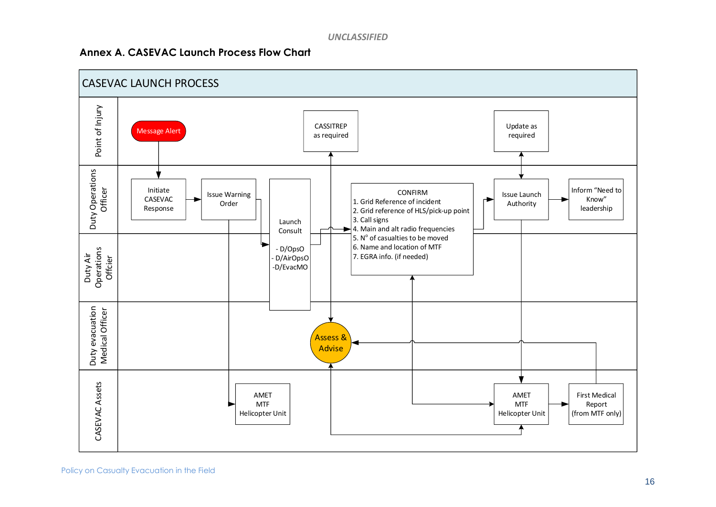#### **Annex A. CASEVAC Launch Process Flow Chart**

<span id="page-15-0"></span>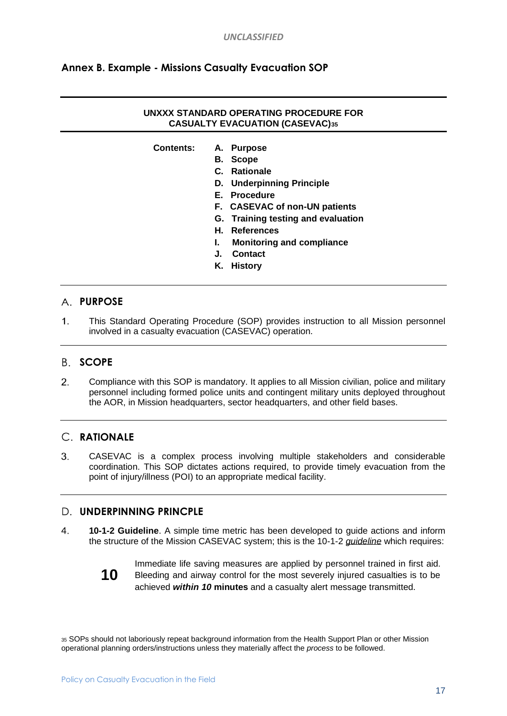### **Annex B. Example - Missions Casualty Evacuation SOP**

#### **UNXXX STANDARD OPERATING PROCEDURE FOR CASUALTY EVACUATION (CASEVAC)<sup>35</sup>**

- **Contents: A. Purpose**
	- **B. Scope**
	- **C. Rationale**
	- **D. Underpinning Principle**
	- **E. Procedure**
	- **F. CASEVAC of non-UN patients**
	- **G. Training testing and evaluation**
	- **H. References**
	- **I. Monitoring and compliance**
	- **J. Contact**
	- **K. History**

#### A. **PURPOSE**

 $1<sub>1</sub>$ This Standard Operating Procedure (SOP) provides instruction to all Mission personnel involved in a casualty evacuation (CASEVAC) operation.

#### **B.** SCOPE

 $2.$ Compliance with this SOP is mandatory. It applies to all Mission civilian, police and military personnel including formed police units and contingent military units deployed throughout the AOR, in Mission headquarters, sector headquarters, and other field bases.

#### **RATIONALE**

 $3<sub>l</sub>$ CASEVAC is a complex process involving multiple stakeholders and considerable coordination. This SOP dictates actions required, to provide timely evacuation from the point of injury/illness (POI) to an appropriate medical facility.

#### D. **UNDERPINNING PRINCPLE**

 $\mathbf{4}$ . **10-1-2 Guideline**. A simple time metric has been developed to guide actions and inform the structure of the Mission CASEVAC system; this is the 10-1-2 *guideline* which requires:



Immediate life saving measures are applied by personnel trained in first aid. Bleeding and airway control for the most severely injured casualties is to be achieved *within 10* **minutes** and a casualty alert message transmitted.

<sup>35</sup> SOPs should not laboriously repeat background information from the Health Support Plan or other Mission operational planning orders/instructions unless they materially affect the *process* to be followed.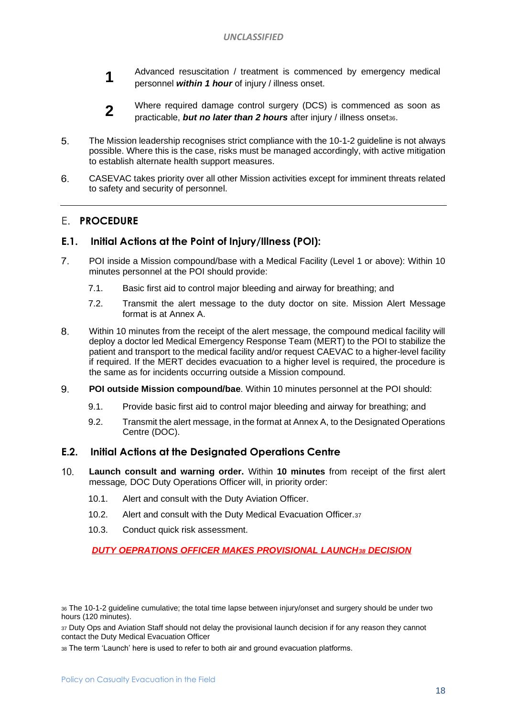- **1** Advanced resuscitation / treatment is commenced by emergency medical personnel *within 1 hour* of injury / illness onset.
- **2** Where required damage control surgery (DCS) is commenced as soon as practicable, *but no later than 2 hours* after injury / illness onset36.
- 5. The Mission leadership recognises strict compliance with the 10-1-2 guideline is not always possible. Where this is the case, risks must be managed accordingly, with active mitigation to establish alternate health support measures.
- 6. CASEVAC takes priority over all other Mission activities except for imminent threats related to safety and security of personnel.

#### **F. PROCEDURE**

#### **E.1. Initial Actions at the Point of Injury/Illness (POI):**

- $7<sub>1</sub>$ POI inside a Mission compound/base with a Medical Facility (Level 1 or above): Within 10 minutes personnel at the POI should provide:
	- 7.1. Basic first aid to control major bleeding and airway for breathing; and
	- 7.2. Transmit the alert message to the duty doctor on site. Mission Alert Message format is at Annex A.
- 8. Within 10 minutes from the receipt of the alert message, the compound medical facility will deploy a doctor led Medical Emergency Response Team (MERT) to the POI to stabilize the patient and transport to the medical facility and/or request CAEVAC to a higher-level facility if required. If the MERT decides evacuation to a higher level is required, the procedure is the same as for incidents occurring outside a Mission compound.
- 9. **POI outside Mission compound/bae**. Within 10 minutes personnel at the POI should:
	- 9.1. Provide basic first aid to control major bleeding and airway for breathing; and
	- 9.2. Transmit the alert message, in the format at Annex A, to the Designated Operations Centre (DOC).

#### **E.2. Initial Actions at the Designated Operations Centre**

- $10<sub>1</sub>$ **Launch consult and warning order.** Within **10 minutes** from receipt of the first alert message*,* DOC Duty Operations Officer will, in priority order:
	- 10.1. Alert and consult with the Duty Aviation Officer.
	- 10.2. Alert and consult with the Duty Medical Evacuation Officer.<sup>37</sup>
	- 10.3. Conduct quick risk assessment.

#### *DUTY OEPRATIONS OFFICER MAKES PROVISIONAL LAUNCH<sup>38</sup> DECISION*

<sup>36</sup> The 10-1-2 guideline cumulative; the total time lapse between injury/onset and surgery should be under two hours (120 minutes).

37 Duty Ops and Aviation Staff should not delay the provisional launch decision if for any reason they cannot contact the Duty Medical Evacuation Officer

<sup>38</sup> The term 'Launch' here is used to refer to both air and ground evacuation platforms.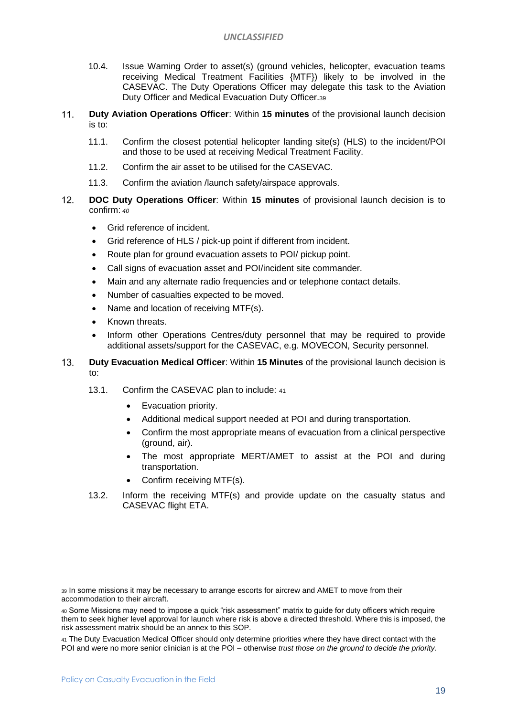#### *UNCLASSIFIED*

- 10.4. Issue Warning Order to asset(s) (ground vehicles, helicopter, evacuation teams receiving Medical Treatment Facilities {MTF}) likely to be involved in the CASEVAC. The Duty Operations Officer may delegate this task to the Aviation Duty Officer and Medical Evacuation Duty Officer.<sup>39</sup>
- $11.$ **Duty Aviation Operations Officer**: Within **15 minutes** of the provisional launch decision is to:
	- 11.1. Confirm the closest potential helicopter landing site(s) (HLS) to the incident/POI and those to be used at receiving Medical Treatment Facility.
	- 11.2. Confirm the air asset to be utilised for the CASEVAC.
	- 11.3. Confirm the aviation /launch safety/airspace approvals.
- $12.$ **DOC Duty Operations Officer**: Within **15 minutes** of provisional launch decision is to confirm: *<sup>40</sup>*
	- Grid reference of incident.
	- Grid reference of HLS / pick-up point if different from incident.
	- Route plan for ground evacuation assets to POI/ pickup point.
	- Call signs of evacuation asset and POI/incident site commander.
	- Main and any alternate radio frequencies and or telephone contact details.
	- Number of casualties expected to be moved.
	- Name and location of receiving MTF(s).
	- Known threats.
	- Inform other Operations Centres/duty personnel that may be required to provide additional assets/support for the CASEVAC, e.g. MOVECON, Security personnel.
- $13.$ **Duty Evacuation Medical Officer**: Within **15 Minutes** of the provisional launch decision is to:
	- 13.1. Confirm the CASEVAC plan to include: <sup>41</sup>
		- Evacuation priority.
		- Additional medical support needed at POI and during transportation.
		- Confirm the most appropriate means of evacuation from a clinical perspective (ground, air).
		- The most appropriate MERT/AMET to assist at the POI and during transportation.
		- Confirm receiving MTF(s).
	- 13.2. Inform the receiving MTF(s) and provide update on the casualty status and CASEVAC flight ETA.

<sup>39</sup> In some missions it may be necessary to arrange escorts for aircrew and AMET to move from their accommodation to their aircraft.

<sup>40</sup> Some Missions may need to impose a quick "risk assessment" matrix to guide for duty officers which require them to seek higher level approval for launch where risk is above a directed threshold. Where this is imposed, the risk assessment matrix should be an annex to this SOP.

<sup>41</sup> The Duty Evacuation Medical Officer should only determine priorities where they have direct contact with the POI and were no more senior clinician is at the POI – otherwise *trust those on the ground to decide the priority.*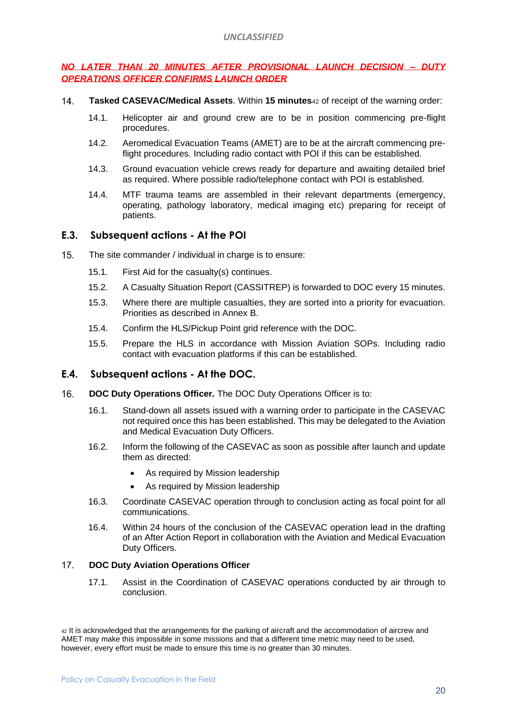#### *NO LATER THAN 20 MINUTES AFTER PROVISIONAL LAUNCH DECISION – DUTY OPERATIONS OFFICER CONFIRMS LAUNCH ORDER*

- $14$ **Tasked CASEVAC/Medical Assets**. Within **15 minutes**<sup>42</sup> of receipt of the warning order:
	- 14.1. Helicopter air and ground crew are to be in position commencing pre-flight procedures.
	- 14.2. Aeromedical Evacuation Teams (AMET) are to be at the aircraft commencing preflight procedures. Including radio contact with POI if this can be established.
	- 14.3. Ground evacuation vehicle crews ready for departure and awaiting detailed brief as required. Where possible radio/telephone contact with POI is established.
	- 14.4. MTF trauma teams are assembled in their relevant departments (emergency, operating, pathology laboratory, medical imaging etc) preparing for receipt of patients.

#### **E.3. Subsequent actions - At the POI**

- $15.$ The site commander / individual in charge is to ensure:
	- 15.1. First Aid for the casualty(s) continues.
	- 15.2. A Casualty Situation Report (CASSITREP) is forwarded to DOC every 15 minutes.
	- 15.3. Where there are multiple casualties, they are sorted into a priority for evacuation. Priorities as described in Annex B.
	- 15.4. Confirm the HLS/Pickup Point grid reference with the DOC.
	- 15.5. Prepare the HLS in accordance with Mission Aviation SOPs. Including radio contact with evacuation platforms if this can be established.

#### **E.4. Subsequent actions - At the DOC.**

- $16.$ **DOC Duty Operations Officer.** The DOC Duty Operations Officer is to:
	- 16.1. Stand-down all assets issued with a warning order to participate in the CASEVAC not required once this has been established. This may be delegated to the Aviation and Medical Evacuation Duty Officers.
	- 16.2. Inform the following of the CASEVAC as soon as possible after launch and update them as directed:
		- As required by Mission leadership
		- As required by Mission leadership
	- 16.3. Coordinate CASEVAC operation through to conclusion acting as focal point for all communications.
	- 16.4. Within 24 hours of the conclusion of the CASEVAC operation lead in the drafting of an After Action Report in collaboration with the Aviation and Medical Evacuation Duty Officers.

#### $17<sub>1</sub>$ **DOC Duty Aviation Operations Officer**

17.1. Assist in the Coordination of CASEVAC operations conducted by air through to conclusion.

<sup>42</sup> It is acknowledged that the arrangements for the parking of aircraft and the accommodation of aircrew and AMET may make this impossible in some missions and that a different time metric may need to be used, however, every effort must be made to ensure this time is no greater than 30 minutes.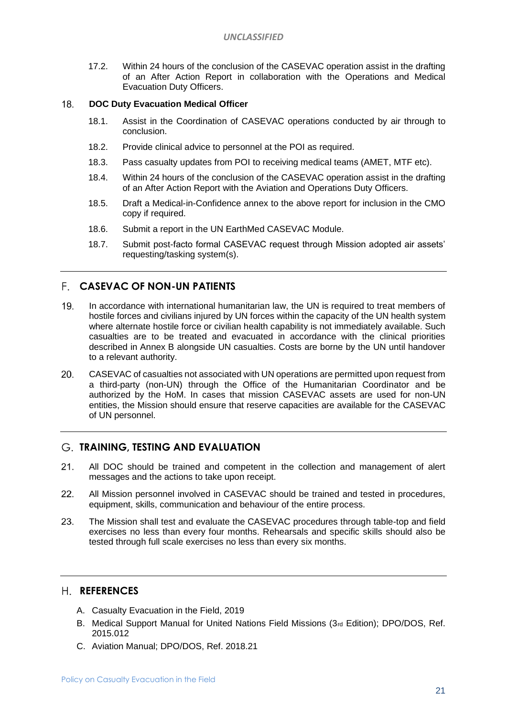17.2. Within 24 hours of the conclusion of the CASEVAC operation assist in the drafting of an After Action Report in collaboration with the Operations and Medical Evacuation Duty Officers.

#### 18. **DOC Duty Evacuation Medical Officer**

- 18.1. Assist in the Coordination of CASEVAC operations conducted by air through to conclusion.
- 18.2. Provide clinical advice to personnel at the POI as required.
- 18.3. Pass casualty updates from POI to receiving medical teams (AMET, MTF etc).
- 18.4. Within 24 hours of the conclusion of the CASEVAC operation assist in the drafting of an After Action Report with the Aviation and Operations Duty Officers.
- 18.5. Draft a Medical-in-Confidence annex to the above report for inclusion in the CMO copy if required.
- 18.6. Submit a report in the UN EarthMed CASEVAC Module.
- 18.7. Submit post-facto formal CASEVAC request through Mission adopted air assets' requesting/tasking system(s).

#### **CASEVAC OF NON-UN PATIENTS**

- $19<sub>1</sub>$ In accordance with international humanitarian law, the UN is required to treat members of hostile forces and civilians injured by UN forces within the capacity of the UN health system where alternate hostile force or civilian health capability is not immediately available. Such casualties are to be treated and evacuated in accordance with the clinical priorities described in Annex B alongside UN casualties. Costs are borne by the UN until handover to a relevant authority.
- 20. CASEVAC of casualties not associated with UN operations are permitted upon request from a third-party (non-UN) through the Office of the Humanitarian Coordinator and be authorized by the HoM. In cases that mission CASEVAC assets are used for non-UN entities, the Mission should ensure that reserve capacities are available for the CASEVAC of UN personnel.

#### **TRAINING, TESTING AND EVALUATION**

- $21.$ All DOC should be trained and competent in the collection and management of alert messages and the actions to take upon receipt.
- $22.$ All Mission personnel involved in CASEVAC should be trained and tested in procedures, equipment, skills, communication and behaviour of the entire process.
- The Mission shall test and evaluate the CASEVAC procedures through table-top and field 23. exercises no less than every four months. Rehearsals and specific skills should also be tested through full scale exercises no less than every six months.

#### **REFERENCES**

- A. Casualty Evacuation in the Field, 2019
- B. Medical Support Manual for United Nations Field Missions (3rd Edition); DPO/DOS, Ref. 2015.012
- C. Aviation Manual; DPO/DOS, Ref. 2018.21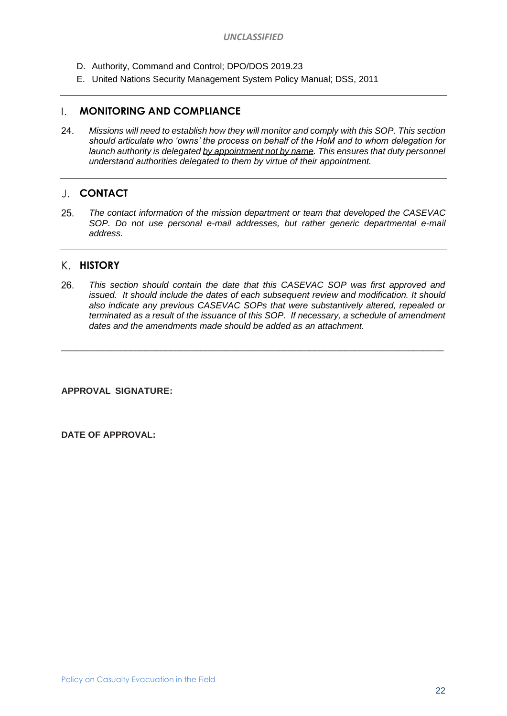- D. Authority, Command and Control; DPO/DOS 2019.23
- E. United Nations Security Management System Policy Manual; DSS, 2011

#### **MONITORING AND COMPLIANCE**

24. *Missions will need to establish how they will monitor and comply with this SOP. This section should articulate who 'owns' the process on behalf of the HoM and to whom delegation for*  launch authority is delegated by appointment not by name. This ensures that duty personnel *understand authorities delegated to them by virtue of their appointment.*

#### **CONTACT**

25 *The contact information of the mission department or team that developed the CASEVAC SOP. Do not use personal e-mail addresses, but rather generic departmental e-mail address.*

#### **HISTORY**

26. *This section should contain the date that this CASEVAC SOP was first approved and issued. It should include the dates of each subsequent review and modification. It should also indicate any previous CASEVAC SOPs that were substantively altered, repealed or terminated as a result of the issuance of this SOP. If necessary, a schedule of amendment dates and the amendments made should be added as an attachment.*

 $\_$  ,  $\_$  ,  $\_$  ,  $\_$  ,  $\_$  ,  $\_$  ,  $\_$  ,  $\_$  ,  $\_$  ,  $\_$  ,  $\_$  ,  $\_$  ,  $\_$  ,  $\_$  ,  $\_$  ,  $\_$  ,  $\_$  ,  $\_$  ,  $\_$  ,  $\_$  ,  $\_$  ,  $\_$  ,  $\_$  ,  $\_$  ,  $\_$  ,  $\_$  ,  $\_$  ,  $\_$  ,  $\_$  ,  $\_$  ,  $\_$  ,  $\_$  ,  $\_$  ,  $\_$  ,  $\_$  ,  $\_$  ,  $\_$  ,

**APPROVAL SIGNATURE:**

**DATE OF APPROVAL:**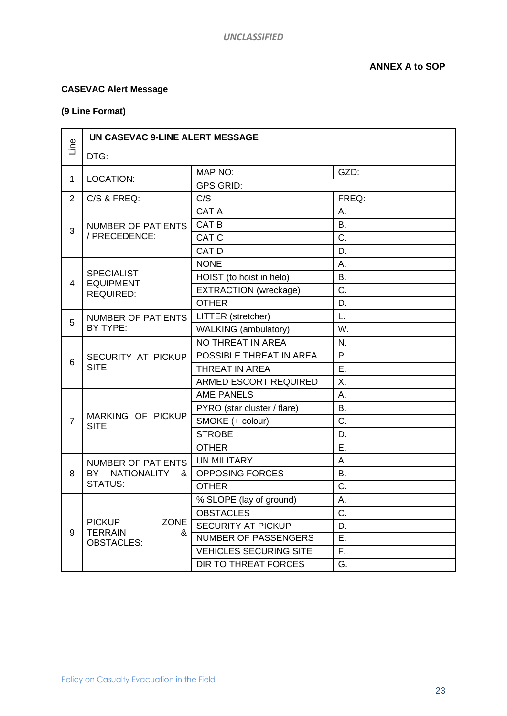#### **CASEVAC Alert Message**

### **(9 Line Format)**

| Line           | UN CASEVAC 9-LINE ALERT MESSAGE                                          |                               |           |  |  |
|----------------|--------------------------------------------------------------------------|-------------------------------|-----------|--|--|
|                | DTG:                                                                     |                               |           |  |  |
| 1              |                                                                          | MAP NO:                       | GZD:      |  |  |
|                | <b>LOCATION:</b>                                                         | <b>GPS GRID:</b>              |           |  |  |
| $\overline{2}$ | C/S & FREQ:                                                              | C/S                           | FREQ:     |  |  |
| 3              |                                                                          | <b>CAT A</b>                  | Α.        |  |  |
|                | <b>NUMBER OF PATIENTS</b>                                                | CAT <sub>B</sub>              | <b>B.</b> |  |  |
|                | / PRECEDENCE:                                                            | CAT C                         | C.        |  |  |
|                |                                                                          | CAT D                         | D.        |  |  |
|                |                                                                          | <b>NONE</b>                   | Α.        |  |  |
| 4              | <b>SPECIALIST</b><br><b>EQUIPMENT</b>                                    | HOIST (to hoist in helo)      | <b>B.</b> |  |  |
|                | <b>REQUIRED:</b>                                                         | <b>EXTRACTION</b> (wreckage)  | C.        |  |  |
|                |                                                                          | <b>OTHER</b>                  | D.        |  |  |
| 5              | <b>NUMBER OF PATIENTS</b>                                                | LITTER (stretcher)            | L.        |  |  |
|                | BY TYPE:                                                                 | <b>WALKING</b> (ambulatory)   | W.        |  |  |
|                |                                                                          | NO THREAT IN AREA             | N.        |  |  |
| 6              | SECURITY AT PICKUP                                                       | POSSIBLE THREAT IN AREA       | Ρ.        |  |  |
|                | SITE:                                                                    | THREAT IN AREA                | Ε.        |  |  |
|                |                                                                          | <b>ARMED ESCORT REQUIRED</b>  | Χ.        |  |  |
|                |                                                                          | <b>AME PANELS</b>             | Α.        |  |  |
|                |                                                                          | PYRO (star cluster / flare)   | <b>B.</b> |  |  |
| $\overline{7}$ | MARKING OF PICKUP<br>SITE:                                               | SMOKE (+ colour)              | C.        |  |  |
|                |                                                                          | <b>STROBE</b>                 | D.        |  |  |
|                |                                                                          | <b>OTHER</b>                  | Ε.        |  |  |
|                | <b>NUMBER OF PATIENTS</b>                                                | <b>UN MILITARY</b>            | Α.        |  |  |
| 8              | BY NATIONALITY<br>ጼ                                                      | <b>OPPOSING FORCES</b>        | <b>B.</b> |  |  |
|                | <b>STATUS:</b>                                                           | <b>OTHER</b>                  | C.        |  |  |
|                |                                                                          | % SLOPE (lay of ground)       | А.        |  |  |
| 9              | <b>PICKUP</b><br><b>ZONE</b><br><b>TERRAIN</b><br>&<br><b>OBSTACLES:</b> | <b>OBSTACLES</b>              | C.        |  |  |
|                |                                                                          | <b>SECURITY AT PICKUP</b>     | D.        |  |  |
|                |                                                                          | <b>NUMBER OF PASSENGERS</b>   | Ε.        |  |  |
|                |                                                                          | <b>VEHICLES SECURING SITE</b> | F.        |  |  |
|                |                                                                          | <b>DIR TO THREAT FORCES</b>   | G.        |  |  |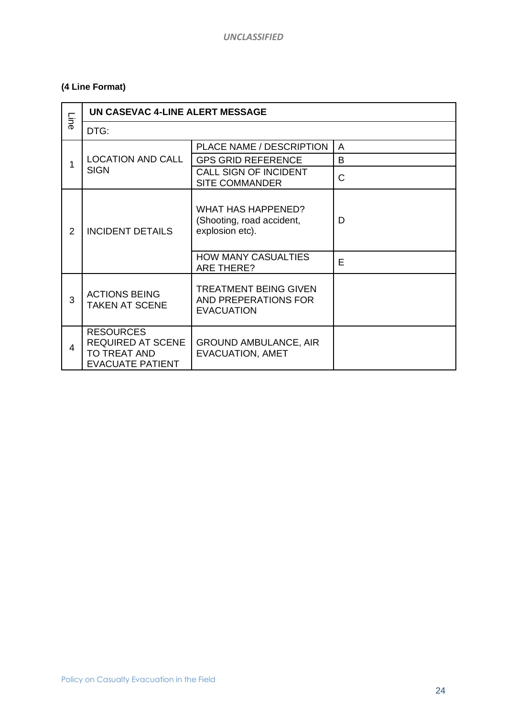### **(4 Line Format)**

| <b>Line</b>    | UN CASEVAC 4-LINE ALERT MESSAGE                                                         |                                                                           |              |  |  |
|----------------|-----------------------------------------------------------------------------------------|---------------------------------------------------------------------------|--------------|--|--|
|                | DTG:                                                                                    |                                                                           |              |  |  |
|                |                                                                                         | PLACE NAME / DESCRIPTION                                                  | A            |  |  |
| 1              | <b>LOCATION AND CALL</b>                                                                | <b>GPS GRID REFERENCE</b>                                                 | B            |  |  |
|                | <b>SIGN</b>                                                                             | CALL SIGN OF INCIDENT<br><b>SITE COMMANDER</b>                            | $\mathsf{C}$ |  |  |
| $\overline{2}$ | <b>INCIDENT DETAILS</b>                                                                 | <b>WHAT HAS HAPPENED?</b><br>(Shooting, road accident,<br>explosion etc). | D            |  |  |
|                |                                                                                         | <b>HOW MANY CASUALTIES</b><br><b>ARE THERE?</b>                           | E            |  |  |
| 3              | <b>ACTIONS BEING</b><br><b>TAKEN AT SCENE</b>                                           | TREATMENT BEING GIVEN<br>AND PREPERATIONS FOR<br><b>EVACUATION</b>        |              |  |  |
| 4              | <b>RESOURCES</b><br><b>REQUIRED AT SCENE</b><br>TO TREAT AND<br><b>EVACUATE PATIENT</b> | <b>GROUND AMBULANCE, AIR</b><br><b>EVACUATION, AMET</b>                   |              |  |  |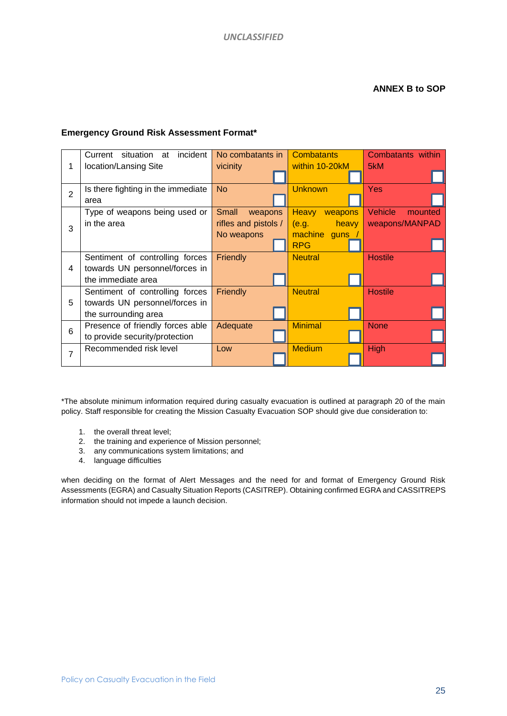#### **Emergency Ground Risk Assessment Format\***

|                | incident<br>Current situation at   | No combatants in     | <b>Combatants</b>       | Combatants within  |
|----------------|------------------------------------|----------------------|-------------------------|--------------------|
| 1              | location/Lansing Site              | vicinity             | within 10-20kM          | 5kM                |
| $\overline{2}$ | Is there fighting in the immediate | <b>No</b>            | <b>Unknown</b>          | <b>Yes</b>         |
|                | area                               |                      |                         |                    |
| 3              | Type of weapons being used or      | Small<br>weapons     | <b>Heavy</b><br>weapons | Vehicle<br>mounted |
|                | in the area                        | rifles and pistols / | (e.g.<br>heavy          | weapons/MANPAD     |
|                |                                    | No weapons           | machine guns            |                    |
|                |                                    |                      | <b>RPG</b>              |                    |
|                | Sentiment of controlling forces    | <b>Friendly</b>      | <b>Neutral</b>          | <b>Hostile</b>     |
| 4              | towards UN personnel/forces in     |                      |                         |                    |
|                | the immediate area                 |                      |                         |                    |
| 5              | Sentiment of controlling forces    | Friendly             | <b>Neutral</b>          | <b>Hostile</b>     |
|                | towards UN personnel/forces in     |                      |                         |                    |
|                | the surrounding area               |                      |                         |                    |
| 6              | Presence of friendly forces able   | Adequate             | <b>Minimal</b>          | <b>None</b>        |
|                | to provide security/protection     |                      |                         |                    |
| $\overline{7}$ | Recommended risk level             | Low                  | <b>Medium</b>           | <b>High</b>        |
|                |                                    |                      |                         |                    |

\*The absolute minimum information required during casualty evacuation is outlined at paragraph 20 of the main policy. Staff responsible for creating the Mission Casualty Evacuation SOP should give due consideration to:

- 1. the overall threat level;
- 2. the training and experience of Mission personnel;
- 3. any communications system limitations; and
- 4. language difficulties

when deciding on the format of Alert Messages and the need for and format of Emergency Ground Risk Assessments (EGRA) and Casualty Situation Reports (CASITREP). Obtaining confirmed EGRA and CASSITREPS information should not impede a launch decision.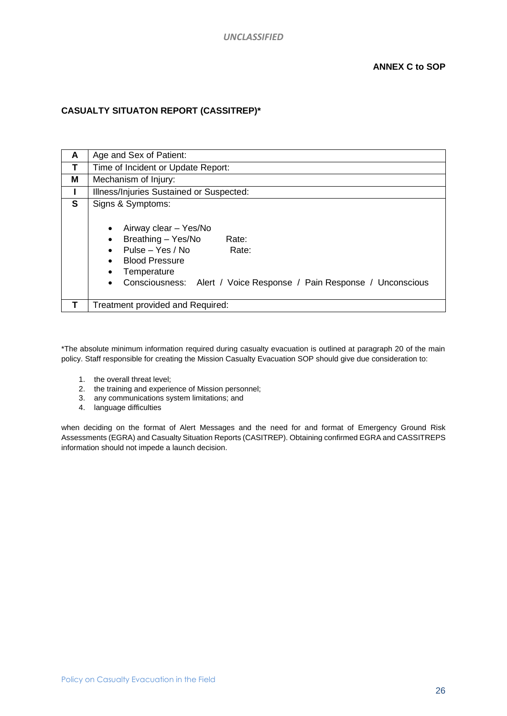#### **CASUALTY SITUATON REPORT (CASSITREP)\***

| A | Age and Sex of Patient:                                                                                                                                                                                                                                                                             |  |  |
|---|-----------------------------------------------------------------------------------------------------------------------------------------------------------------------------------------------------------------------------------------------------------------------------------------------------|--|--|
| Τ | Time of Incident or Update Report:                                                                                                                                                                                                                                                                  |  |  |
| Μ | Mechanism of Injury:                                                                                                                                                                                                                                                                                |  |  |
|   | Illness/Injuries Sustained or Suspected:                                                                                                                                                                                                                                                            |  |  |
| S | Signs & Symptoms:<br>Airway clear - Yes/No<br>$\bullet$<br>Breathing - Yes/No<br>Rate:<br>$\bullet$<br>Pulse - Yes / No<br>Rate:<br>$\bullet$<br><b>Blood Pressure</b><br>$\bullet$<br>Temperature<br>$\bullet$<br>Consciousness: Alert / Voice Response / Pain Response / Unconscious<br>$\bullet$ |  |  |
|   | Treatment provided and Required:                                                                                                                                                                                                                                                                    |  |  |

\*The absolute minimum information required during casualty evacuation is outlined at paragraph 20 of the main policy. Staff responsible for creating the Mission Casualty Evacuation SOP should give due consideration to:

- 1. the overall threat level;
- 2. the training and experience of Mission personnel;
- 3. any communications system limitations; and
- 4. language difficulties

when deciding on the format of Alert Messages and the need for and format of Emergency Ground Risk Assessments (EGRA) and Casualty Situation Reports (CASITREP). Obtaining confirmed EGRA and CASSITREPS information should not impede a launch decision.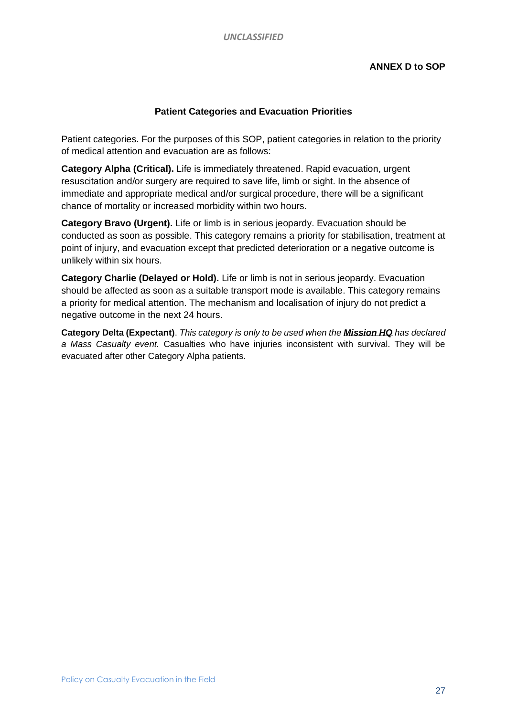#### **Patient Categories and Evacuation Priorities**

Patient categories. For the purposes of this SOP, patient categories in relation to the priority of medical attention and evacuation are as follows:

**Category Alpha (Critical).** Life is immediately threatened. Rapid evacuation, urgent resuscitation and/or surgery are required to save life, limb or sight. In the absence of immediate and appropriate medical and/or surgical procedure, there will be a significant chance of mortality or increased morbidity within two hours.

**Category Bravo (Urgent).** Life or limb is in serious jeopardy. Evacuation should be conducted as soon as possible. This category remains a priority for stabilisation, treatment at point of injury, and evacuation except that predicted deterioration or a negative outcome is unlikely within six hours.

**Category Charlie (Delayed or Hold).** Life or limb is not in serious jeopardy. Evacuation should be affected as soon as a suitable transport mode is available. This category remains a priority for medical attention. The mechanism and localisation of injury do not predict a negative outcome in the next 24 hours.

**Category Delta (Expectant)**. *This category is only to be used when the Mission HQ has declared a Mass Casualty event.* Casualties who have injuries inconsistent with survival. They will be evacuated after other Category Alpha patients.